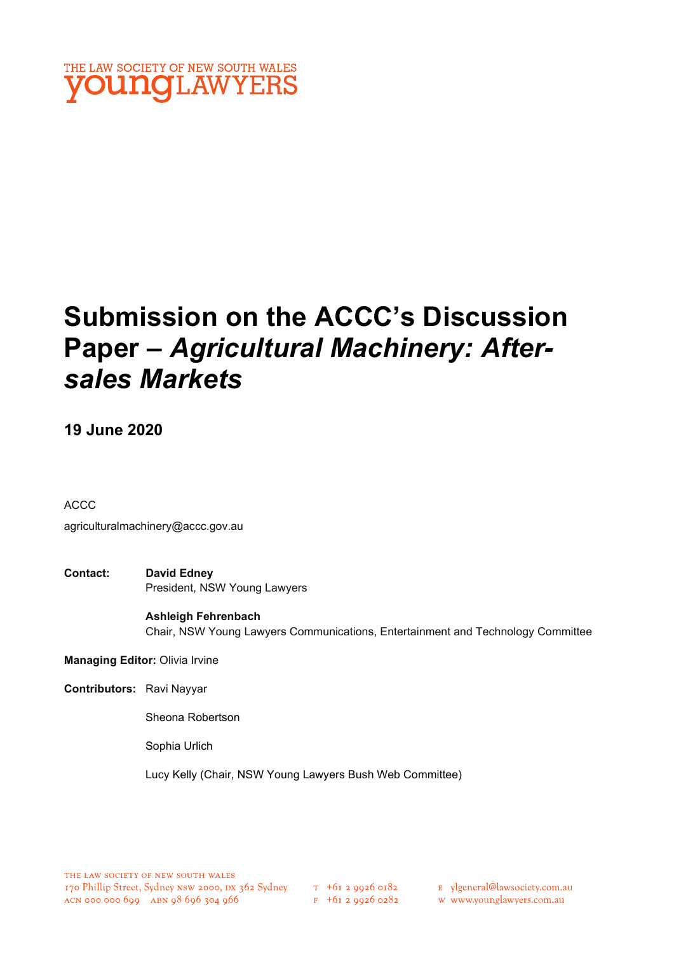

# Submission on the ACCC's Discussion Paper – Agricultural Machinery: Aftersales Markets

### 19 June 2020

ACCC

agriculturalmachinery@accc.gov.au

Contact: David Edney President, NSW Young Lawyers

> Ashleigh Fehrenbach Chair, NSW Young Lawyers Communications, Entertainment and Technology Committee

Managing Editor: Olivia Irvine

Contributors: Ravi Nayyar

Sheona Robertson

Sophia Urlich

Lucy Kelly (Chair, NSW Young Lawyers Bush Web Committee)

E ylgeneral@lawsociety.com.au

w www.younglawyers.com.au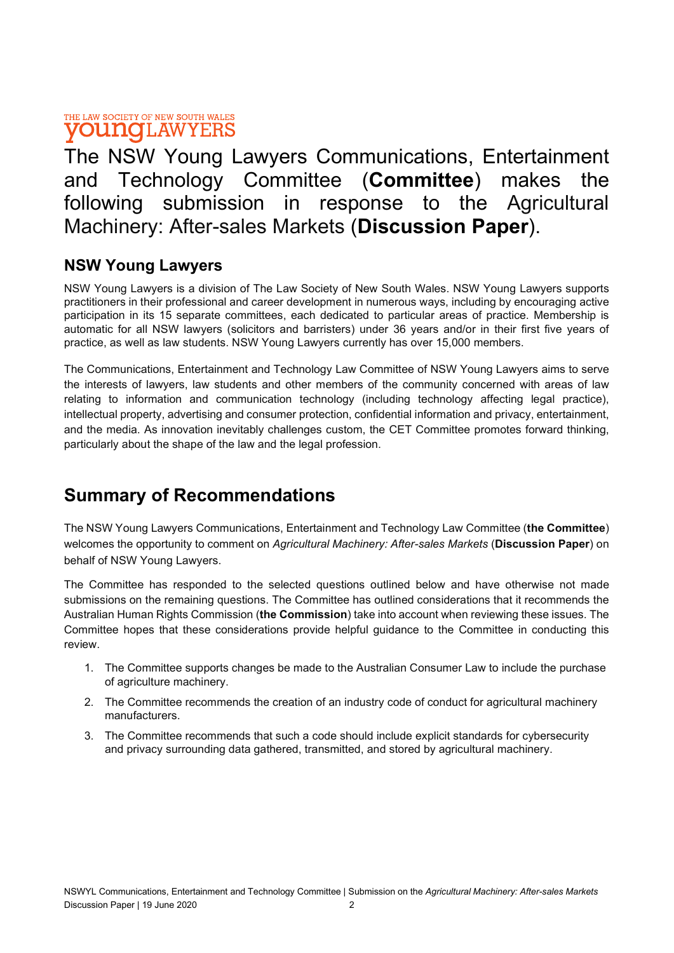The NSW Young Lawyers Communications, Entertainment and Technology Committee (Committee) makes the following submission in response to the Agricultural Machinery: After-sales Markets (Discussion Paper).

### NSW Young Lawyers

NSW Young Lawyers is a division of The Law Society of New South Wales. NSW Young Lawyers supports practitioners in their professional and career development in numerous ways, including by encouraging active participation in its 15 separate committees, each dedicated to particular areas of practice. Membership is automatic for all NSW lawyers (solicitors and barristers) under 36 years and/or in their first five years of practice, as well as law students. NSW Young Lawyers currently has over 15,000 members.

The Communications, Entertainment and Technology Law Committee of NSW Young Lawyers aims to serve the interests of lawyers, law students and other members of the community concerned with areas of law relating to information and communication technology (including technology affecting legal practice), intellectual property, advertising and consumer protection, confidential information and privacy, entertainment, and the media. As innovation inevitably challenges custom, the CET Committee promotes forward thinking, particularly about the shape of the law and the legal profession.

## Summary of Recommendations

The NSW Young Lawyers Communications, Entertainment and Technology Law Committee (the Committee) welcomes the opportunity to comment on Agricultural Machinery: After-sales Markets (Discussion Paper) on behalf of NSW Young Lawyers.

The Committee has responded to the selected questions outlined below and have otherwise not made submissions on the remaining questions. The Committee has outlined considerations that it recommends the Australian Human Rights Commission (the Commission) take into account when reviewing these issues. The Committee hopes that these considerations provide helpful guidance to the Committee in conducting this review.

- 1. The Committee supports changes be made to the Australian Consumer Law to include the purchase of agriculture machinery.
- 2. The Committee recommends the creation of an industry code of conduct for agricultural machinery manufacturers.
- 3. The Committee recommends that such a code should include explicit standards for cybersecurity and privacy surrounding data gathered, transmitted, and stored by agricultural machinery.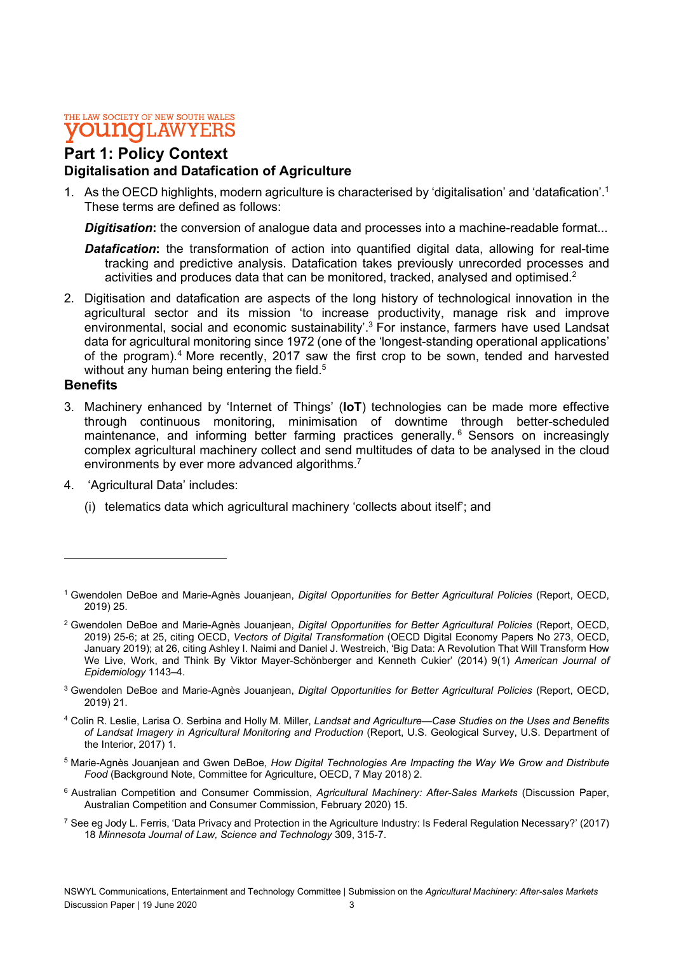### Part 1: Policy Context Digitalisation and Datafication of Agriculture

1. As the OECD highlights, modern agriculture is characterised by 'digitalisation' and 'datafication'.1 These terms are defined as follows:

**Digitisation:** the conversion of analogue data and processes into a machine-readable format...

- **Datafication:** the transformation of action into quantified digital data, allowing for real-time tracking and predictive analysis. Datafication takes previously unrecorded processes and activities and produces data that can be monitored, tracked, analysed and optimised.2
- 2. Digitisation and datafication are aspects of the long history of technological innovation in the agricultural sector and its mission 'to increase productivity, manage risk and improve environmental, social and economic sustainability'.<sup>3</sup> For instance, farmers have used Landsat data for agricultural monitoring since 1972 (one of the 'longest-standing operational applications' of the program).<sup>4</sup> More recently, 2017 saw the first crop to be sown, tended and harvested without any human being entering the field.<sup>5</sup>

### **Benefits**

- 3. Machinery enhanced by 'Internet of Things' (IoT) technologies can be made more effective through continuous monitoring, minimisation of downtime through better-scheduled maintenance, and informing better farming practices generally.<sup>6</sup> Sensors on increasingly complex agricultural machinery collect and send multitudes of data to be analysed in the cloud environments by ever more advanced algorithms.7 4. 'Agricultural Data' includes:
- - (i) telematics data which agricultural machinery 'collects about itself'; and

- <sup>5</sup> Marie-Agnès Jouanjean and Gwen DeBoe, How Digital Technologies Are Impacting the Way We Grow and Distribute Food (Background Note, Committee for Agriculture, OECD, 7 May 2018) 2.
- <sup>6</sup> Australian Competition and Consumer Commission, Agricultural Machinery: After-Sales Markets (Discussion Paper, Australian Competition and Consumer Commission, February 2020) 15.
- <sup>7</sup> See eg Jody L. Ferris, 'Data Privacy and Protection in the Agriculture Industry: Is Federal Regulation Necessary?' (2017) 18 Minnesota Journal of Law, Science and Technology 309, 315-7.

<sup>&</sup>lt;sup>1</sup> Gwendolen DeBoe and Marie-Agnès Jouanjean, Digital Opportunities for Better Agricultural Policies (Report, OECD, 2019) 25.

<sup>&</sup>lt;sup>2</sup> Gwendolen DeBoe and Marie-Agnès Jouanjean, Digital Opportunities for Better Agricultural Policies (Report, OECD, 2019) 25-6; at 25, citing OECD, Vectors of Digital Transformation (OECD Digital Economy Papers No 273, OECD, January 2019); at 26, citing Ashley I. Naimi and Daniel J. Westreich, 'Big Data: A Revolution That Will Transform How We Live, Work, and Think By Viktor Mayer-Schönberger and Kenneth Cukier' (2014) 9(1) American Journal of Epidemiology 1143–4.

<sup>&</sup>lt;sup>3</sup> Gwendolen DeBoe and Marie-Agnès Jouanjean, Digital Opportunities for Better Agricultural Policies (Report, OECD, 2019) 21.

<sup>4</sup> Colin R. Leslie, Larisa O. Serbina and Holly M. Miller, Landsat and Agriculture—Case Studies on the Uses and Benefits of Landsat Imagery in Agricultural Monitoring and Production (Report, U.S. Geological Survey, U.S. Department of the Interior, 2017) 1.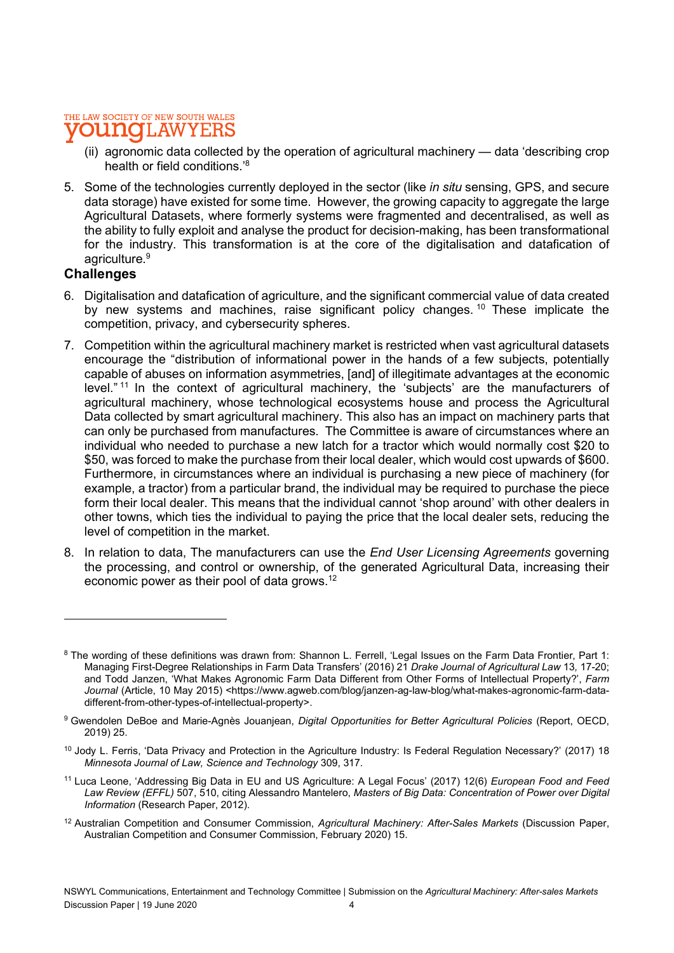#### THE LAW SOCIETY OF NEW SOUTH WALES **OU NOT** LAW

- (ii) agronomic data collected by the operation of agricultural machinery data 'describing crop health or field conditions.'8
- 5. Some of the technologies currently deployed in the sector (like *in situ* sensing, GPS, and secure data storage) have existed for some time. However, the growing capacity to aggregate the large Agricultural Datasets, where formerly systems were fragmented and decentralised, as well as the ability to fully exploit and analyse the product for decision-making, has been transformational for the industry. This transformation is at the core of the digitalisation and datafication of agriculture.<sup>9</sup>

### **Challenges**

- 6. Digitalisation and datafication of agriculture, and the significant commercial value of data created by new systems and machines, raise significant policy changes.<sup>10</sup> These implicate the competition, privacy, and cybersecurity spheres.
- 7. Competition within the agricultural machinery market is restricted when vast agricultural datasets encourage the "distribution of informational power in the hands of a few subjects, potentially capable of abuses on information asymmetries, [and] of illegitimate advantages at the economic level."<sup>11</sup> In the context of agricultural machinery, the 'subjects' are the manufacturers of agricultural machinery, whose technological ecosystems house and process the Agricultural Data collected by smart agricultural machinery. This also has an impact on machinery parts that can only be purchased from manufactures. The Committee is aware of circumstances where an individual who needed to purchase a new latch for a tractor which would normally cost \$20 to \$50, was forced to make the purchase from their local dealer, which would cost upwards of \$600. Furthermore, in circumstances where an individual is purchasing a new piece of machinery (for example, a tractor) from a particular brand, the individual may be required to purchase the piece form their local dealer. This means that the individual cannot 'shop around' with other dealers in other towns, which ties the individual to paying the price that the local dealer sets, reducing the level of competition in the market.
- 8. In relation to data. The manufacturers can use the *End User Licensing Agreements* governing the processing, and control or ownership, of the generated Agricultural Data, increasing their economic power as their pool of data grows.12 in a shekarar 1990)<br>Marejeo

<sup>12</sup> Australian Competition and Consumer Commission, Agricultural Machinery: After-Sales Markets (Discussion Paper, Australian Competition and Consumer Commission, February 2020) 15.

<sup>&</sup>lt;sup>8</sup> The wording of these definitions was drawn from: Shannon L. Ferrell, 'Legal Issues on the Farm Data Frontier, Part 1: Managing First-Degree Relationships in Farm Data Transfers' (2016) 21 Drake Journal of Agricultural Law 13, 17-20; and Todd Janzen, 'What Makes Agronomic Farm Data Different from Other Forms of Intellectual Property?', Farm Journal (Article, 10 May 2015) <https://www.agweb.com/blog/janzen-ag-law-blog/what-makes-agronomic-farm-datadifferent-from-other-types-of-intellectual-property>.

<sup>&</sup>lt;sup>9</sup> Gwendolen DeBoe and Marie-Agnès Jouanjean, Digital Opportunities for Better Agricultural Policies (Report, OECD, 2019) 25.

<sup>&</sup>lt;sup>10</sup> Jody L. Ferris, 'Data Privacy and Protection in the Agriculture Industry: Is Federal Regulation Necessary?' (2017) 18 Minnesota Journal of Law, Science and Technology 309, 317.

<sup>&</sup>lt;sup>11</sup> Luca Leone, 'Addressing Big Data in EU and US Agriculture: A Legal Focus' (2017) 12(6) European Food and Feed Law Review (EFFL) 507, 510, citing Alessandro Mantelero, Masters of Big Data: Concentration of Power over Digital Information (Research Paper, 2012).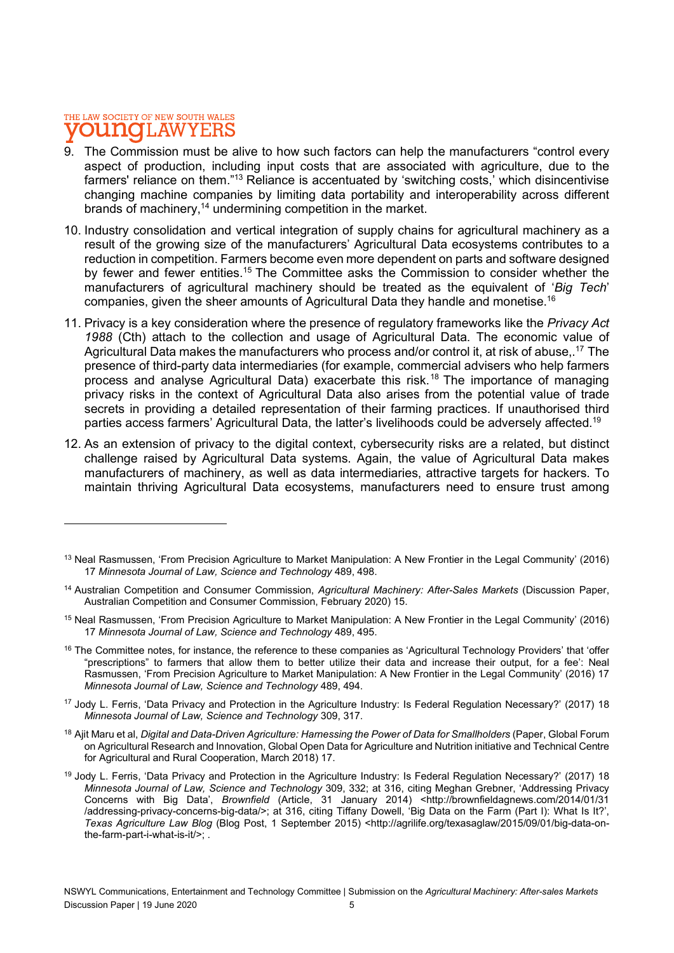### THE LAW SOCIETY OF NEW SOUTH WALES **DU MOTLAW**

- 9. The Commission must be alive to how such factors can help the manufacturers "control every aspect of production, including input costs that are associated with agriculture, due to the farmers' reliance on them."13 Reliance is accentuated by 'switching costs,' which disincentivise changing machine companies by limiting data portability and interoperability across different brands of machinery,14 undermining competition in the market.
- 10. Industry consolidation and vertical integration of supply chains for agricultural machinery as a result of the growing size of the manufacturers' Agricultural Data ecosystems contributes to a reduction in competition. Farmers become even more dependent on parts and software designed by fewer and fewer entities.<sup>15</sup> The Committee asks the Commission to consider whether the manufacturers of agricultural machinery should be treated as the equivalent of 'Big Tech' companies, given the sheer amounts of Agricultural Data they handle and monetise.16
- 11. Privacy is a key consideration where the presence of regulatory frameworks like the Privacy Act 1988 (Cth) attach to the collection and usage of Agricultural Data. The economic value of Agricultural Data makes the manufacturers who process and/or control it, at risk of abuse, <sup>17</sup> The presence of third-party data intermediaries (for example, commercial advisers who help farmers process and analyse Agricultural Data) exacerbate this risk.18 The importance of managing privacy risks in the context of Agricultural Data also arises from the potential value of trade secrets in providing a detailed representation of their farming practices. If unauthorised third parties access farmers' Agricultural Data, the latter's livelihoods could be adversely affected.19
- 12. As an extension of privacy to the digital context, cybersecurity risks are a related, but distinct challenge raised by Agricultural Data systems. Again, the value of Agricultural Data makes manufacturers of machinery, as well as data intermediaries, attractive targets for hackers. To maintain thriving Agricultural Data ecosystems, manufacturers need to ensure trust among

- <sup>16</sup> The Committee notes, for instance, the reference to these companies as 'Agricultural Technology Providers' that 'offer "prescriptions" to farmers that allow them to better utilize their data and increase their output, for a fee': Neal Rasmussen, 'From Precision Agriculture to Market Manipulation: A New Frontier in the Legal Community' (2016) 17 Minnesota Journal of Law, Science and Technology 489, 494.
- <sup>17</sup> Jody L. Ferris, 'Data Privacy and Protection in the Agriculture Industry: Is Federal Regulation Necessary?' (2017) 18 Minnesota Journal of Law, Science and Technology 309, 317.
- 18 Ajit Maru et al, Digital and Data-Driven Agriculture: Harnessing the Power of Data for Smallholders (Paper, Global Forum on Agricultural Research and Innovation, Global Open Data for Agriculture and Nutrition initiative and Technical Centre for Agricultural and Rural Cooperation, March 2018) 17.
- <sup>19</sup> Jody L. Ferris, 'Data Privacy and Protection in the Agriculture Industry: Is Federal Regulation Necessary?' (2017) 18 Minnesota Journal of Law, Science and Technology 309, 332; at 316, citing Meghan Grebner, 'Addressing Privacy Concerns with Big Data', Brownfield (Article, 31 January 2014) <http://brownfieldagnews.com/2014/01/31 /addressing-privacy-concerns-big-data/>; at 316, citing Tiffany Dowell, 'Big Data on the Farm (Part I): What Is It?', Texas Agriculture Law Blog (Blog Post, 1 September 2015) <http://agrilife.org/texasaglaw/2015/09/01/big-data-onthe-farm-part-i-what-is-it/>; .

<sup>&</sup>lt;sup>13</sup> Neal Rasmussen, 'From Precision Agriculture to Market Manipulation: A New Frontier in the Legal Community' (2016) 17 Minnesota Journal of Law, Science and Technology 489, 498.

<sup>&</sup>lt;sup>14</sup> Australian Competition and Consumer Commission, Agricultural Machinery: After-Sales Markets (Discussion Paper, Australian Competition and Consumer Commission, February 2020) 15.

<sup>15</sup> Neal Rasmussen, 'From Precision Agriculture to Market Manipulation: A New Frontier in the Legal Community' (2016) 17 Minnesota Journal of Law, Science and Technology 489, 495.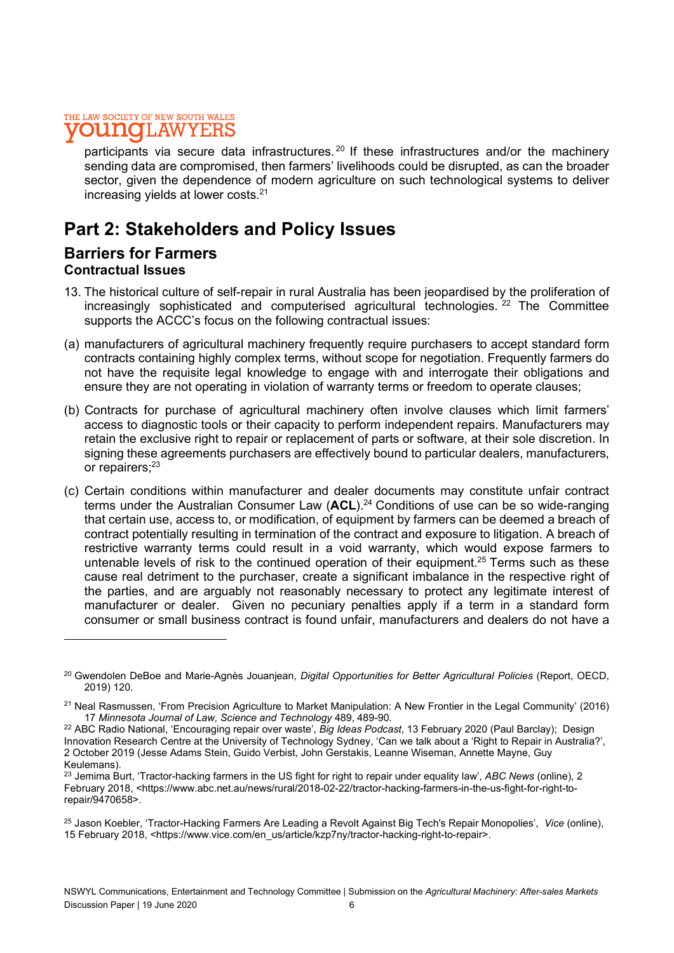participants via secure data infrastructures.<sup>20</sup> If these infrastructures and/or the machinery sending data are compromised, then farmers' livelihoods could be disrupted, as can the broader sector, given the dependence of modern agriculture on such technological systems to deliver increasing yields at lower costs.21

### Part 2: Stakeholders and Policy Issues

### Barriers for Farmers Contractual Issues

- 13. The historical culture of self-repair in rural Australia has been jeopardised by the proliferation of increasingly sophisticated and computerised agricultural technologies.<sup>22</sup> The Committee supports the ACCC's focus on the following contractual issues:
- (a) manufacturers of agricultural machinery frequently require purchasers to accept standard form contracts containing highly complex terms, without scope for negotiation. Frequently farmers do not have the requisite legal knowledge to engage with and interrogate their obligations and ensure they are not operating in violation of warranty terms or freedom to operate clauses;
- (b) Contracts for purchase of agricultural machinery often involve clauses which limit farmers' access to diagnostic tools or their capacity to perform independent repairs. Manufacturers may retain the exclusive right to repair or replacement of parts or software, at their sole discretion. In signing these agreements purchasers are effectively bound to particular dealers, manufacturers, or repairers;<sup>23</sup>
- (c) Certain conditions within manufacturer and dealer documents may constitute unfair contract terms under the Australian Consumer Law  $(ACL)$ .<sup>24</sup> Conditions of use can be so wide-ranging that certain use, access to, or modification, of equipment by farmers can be deemed a breach of contract potentially resulting in termination of the contract and exposure to litigation. A breach of restrictive warranty terms could result in a void warranty, which would expose farmers to untenable levels of risk to the continued operation of their equipment.<sup>25</sup> Terms such as these cause real detriment to the purchaser, create a significant imbalance in the respective right of the parties, and are arguably not reasonably necessary to protect any legitimate interest of manufacturer or dealer. Given no pecuniary penalties apply if a term in a standard form consumer or small business contract is found unfair, manufacturers and dealers do not have a

<sup>&</sup>lt;sup>20</sup> Gwendolen DeBoe and Marie-Agnès Jouanjean, Digital Opportunities for Better Agricultural Policies (Report, OECD, 2019) 120.

<sup>&</sup>lt;sup>21</sup> Neal Rasmussen, 'From Precision Agriculture to Market Manipulation: A New Frontier in the Legal Community' (2016) 17 Minnesota Journal of Law, Science and Technology 489, 489-90.

<sup>&</sup>lt;sup>22</sup> ABC Radio National, 'Encouraging repair over waste', Big Ideas Podcast, 13 February 2020 (Paul Barclay); Design Innovation Research Centre at the University of Technology Sydney, 'Can we talk about a 'Right to Repair in Australia?', 2 October 2019 (Jesse Adams Stein, Guido Verbist, John Gerstakis, Leanne Wiseman, Annette Mayne, Guy Keulemans).

 $^{23}$  Jemima Burt, 'Tractor-hacking farmers in the US fight for right to repair under equality law', ABC News (online), 2 February 2018, <https://www.abc.net.au/news/rural/2018-02-22/tractor-hacking-farmers-in-the-us-fight-for-right-torepair/9470658>.

<sup>&</sup>lt;sup>25</sup> Jason Koebler, 'Tractor-Hacking Farmers Are Leading a Revolt Against Big Tech's Repair Monopolies', Vice (online), 15 February 2018, <https://www.vice.com/en\_us/article/kzp7ny/tractor-hacking-right-to-repair>.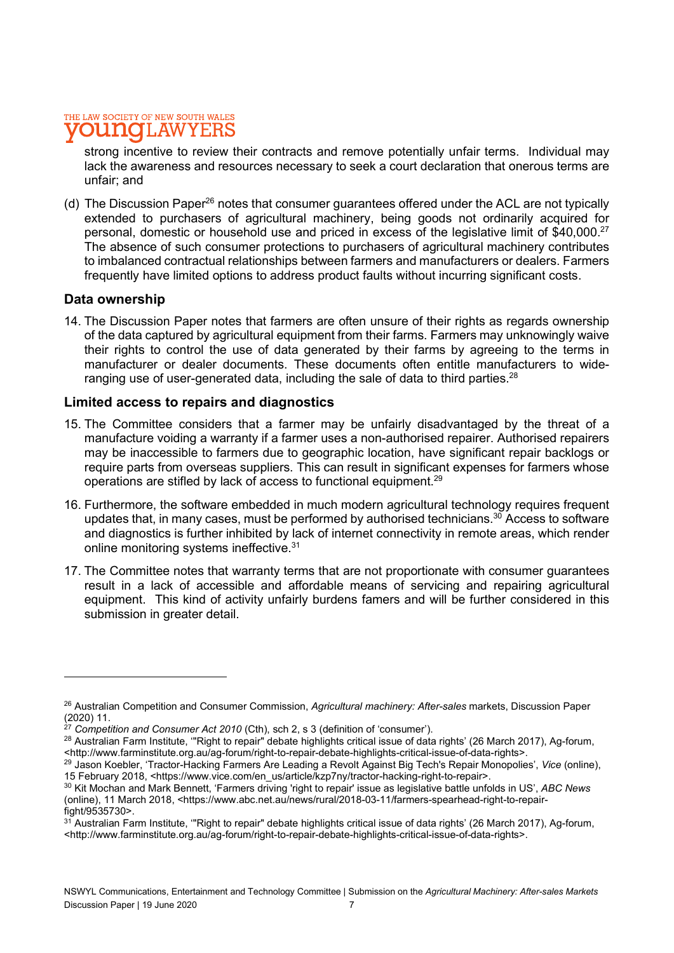strong incentive to review their contracts and remove potentially unfair terms. Individual may lack the awareness and resources necessary to seek a court declaration that onerous terms are unfair; and

(d) The Discussion Paper<sup>26</sup> notes that consumer guarantees offered under the ACL are not typically extended to purchasers of agricultural machinery, being goods not ordinarily acquired for personal, domestic or household use and priced in excess of the legislative limit of \$40,000.<sup>27</sup> The absence of such consumer protections to purchasers of agricultural machinery contributes to imbalanced contractual relationships between farmers and manufacturers or dealers. Farmers frequently have limited options to address product faults without incurring significant costs.

### Data ownership

14. The Discussion Paper notes that farmers are often unsure of their rights as regards ownership of the data captured by agricultural equipment from their farms. Farmers may unknowingly waive their rights to control the use of data generated by their farms by agreeing to the terms in manufacturer or dealer documents. These documents often entitle manufacturers to wideranging use of user-generated data, including the sale of data to third parties.<sup>28</sup>

### Limited access to repairs and diagnostics

- 15. The Committee considers that a farmer may be unfairly disadvantaged by the threat of a manufacture voiding a warranty if a farmer uses a non-authorised repairer. Authorised repairers may be inaccessible to farmers due to geographic location, have significant repair backlogs or require parts from overseas suppliers. This can result in significant expenses for farmers whose operations are stifled by lack of access to functional equipment.<sup>29</sup>
- 16. Furthermore, the software embedded in much modern agricultural technology requires frequent updates that, in many cases, must be performed by authorised technicians.<sup>30</sup> Access to software and diagnostics is further inhibited by lack of internet connectivity in remote areas, which render online monitoring systems ineffective.<sup>31</sup>
- 17. The Committee notes that warranty terms that are not proportionate with consumer guarantees result in a lack of accessible and affordable means of servicing and repairing agricultural equipment. This kind of activity unfairly burdens famers and will be further considered in this submission in greater detail.

<sup>&</sup>lt;sup>26</sup> Australian Competition and Consumer Commission, Agricultural machinery: After-sales markets, Discussion Paper (2020) 11.

<sup>&</sup>lt;sup>27</sup> Competition and Consumer Act 2010 (Cth), sch 2, s 3 (definition of 'consumer').

<sup>&</sup>lt;sup>28</sup> Australian Farm Institute, "Right to repair" debate highlights critical issue of data rights' (26 March 2017), Ag-forum, <http://www.farminstitute.org.au/ag-forum/right-to-repair-debate-highlights-critical-issue-of-data-rights>.

<sup>29</sup> Jason Koebler, 'Tractor-Hacking Farmers Are Leading a Revolt Against Big Tech's Repair Monopolies', Vice (online), 15 February 2018, <https://www.vice.com/en\_us/article/kzp7ny/tractor-hacking-right-to-repair>.

<sup>&</sup>lt;sup>30</sup> Kit Mochan and Mark Bennett, 'Farmers driving 'right to repair' issue as legislative battle unfolds in US', ABC News (online), 11 March 2018, <https://www.abc.net.au/news/rural/2018-03-11/farmers-spearhead-right-to-repairfight/9535730>.

 $31$  Australian Farm Institute, "Right to repair" debate highlights critical issue of data rights' (26 March 2017), Ag-forum, <http://www.farminstitute.org.au/ag-forum/right-to-repair-debate-highlights-critical-issue-of-data-rights>.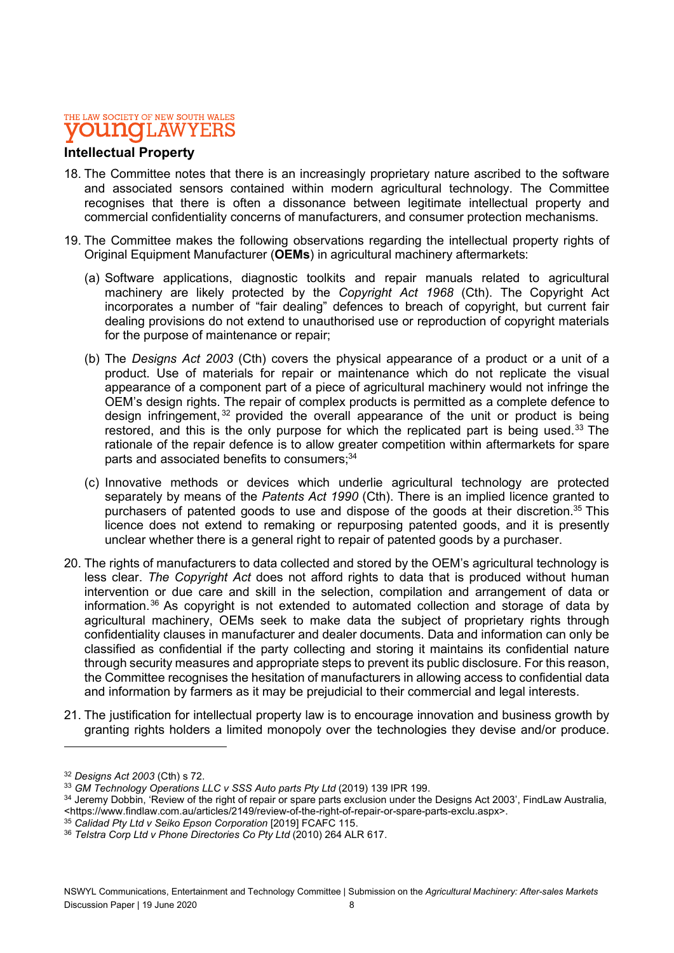### Intellectual Property

- 18. The Committee notes that there is an increasingly proprietary nature ascribed to the software and associated sensors contained within modern agricultural technology. The Committee recognises that there is often a dissonance between legitimate intellectual property and commercial confidentiality concerns of manufacturers, and consumer protection mechanisms.
- 19. The Committee makes the following observations regarding the intellectual property rights of Original Equipment Manufacturer (OEMs) in agricultural machinery aftermarkets:
	- (a) Software applications, diagnostic toolkits and repair manuals related to agricultural machinery are likely protected by the Copyright Act 1968 (Cth). The Copyright Act incorporates a number of "fair dealing" defences to breach of copyright, but current fair dealing provisions do not extend to unauthorised use or reproduction of copyright materials for the purpose of maintenance or repair;
	- (b) The Designs Act 2003 (Cth) covers the physical appearance of a product or a unit of a product. Use of materials for repair or maintenance which do not replicate the visual appearance of a component part of a piece of agricultural machinery would not infringe the OEM's design rights. The repair of complex products is permitted as a complete defence to design infringement,  $32$  provided the overall appearance of the unit or product is being restored, and this is the only purpose for which the replicated part is being used.<sup>33</sup> The rationale of the repair defence is to allow greater competition within aftermarkets for spare parts and associated benefits to consumers;<sup>34</sup>
	- (c) Innovative methods or devices which underlie agricultural technology are protected separately by means of the Patents Act 1990 (Cth). There is an implied licence granted to purchasers of patented goods to use and dispose of the goods at their discretion.<sup>35</sup> This licence does not extend to remaking or repurposing patented goods, and it is presently unclear whether there is a general right to repair of patented goods by a purchaser.
- 20. The rights of manufacturers to data collected and stored by the OEM's agricultural technology is less clear. The Copyright Act does not afford rights to data that is produced without human intervention or due care and skill in the selection, compilation and arrangement of data or information.<sup>36</sup> As copyright is not extended to automated collection and storage of data by agricultural machinery, OEMs seek to make data the subject of proprietary rights through confidentiality clauses in manufacturer and dealer documents. Data and information can only be classified as confidential if the party collecting and storing it maintains its confidential nature through security measures and appropriate steps to prevent its public disclosure. For this reason, the Committee recognises the hesitation of manufacturers in allowing access to confidential data and information by farmers as it may be prejudicial to their commercial and legal interests.
- 21. The justification for intellectual property law is to encourage innovation and business growth by granting rights holders a limited monopoly over the technologies they devise and/or produce.

<sup>32</sup> Designs Act 2003 (Cth) s 72.

<sup>&</sup>lt;sup>33</sup> GM Technology Operations LLC v SSS Auto parts Pty Ltd (2019) 139 IPR 199.

<sup>34</sup> Jeremy Dobbin, 'Review of the right of repair or spare parts exclusion under the Designs Act 2003', FindLaw Australia, <https://www.findlaw.com.au/articles/2149/review-of-the-right-of-repair-or-spare-parts-exclu.aspx>.

 $35$  Calidad Ptv Ltd v Seiko Epson Corporation [2019] FCAFC 115.

<sup>36</sup> Telstra Corp Ltd v Phone Directories Co Pty Ltd (2010) 264 ALR 617.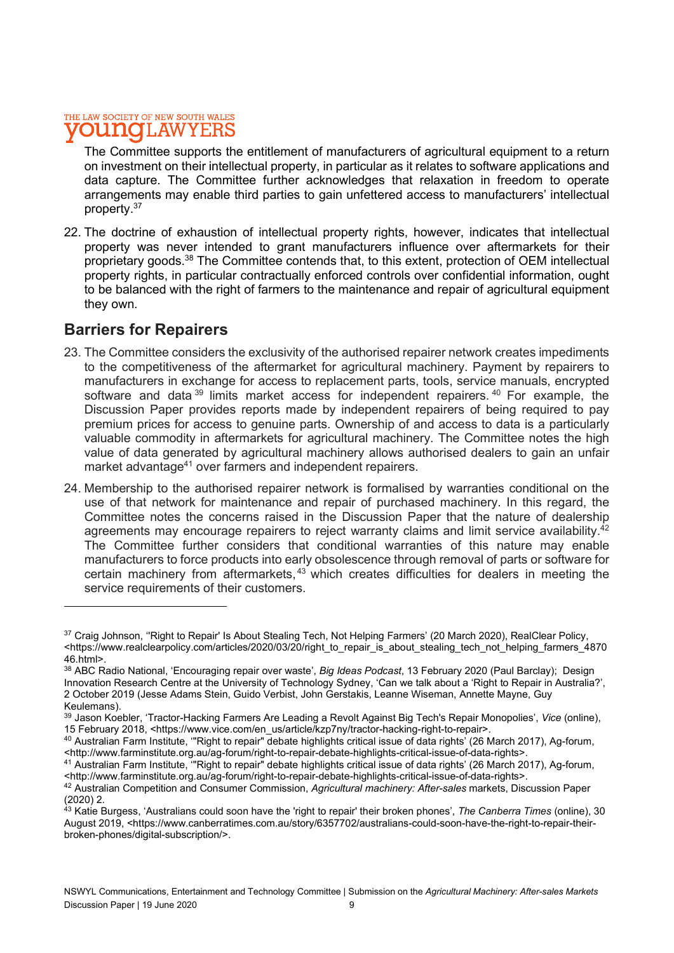The Committee supports the entitlement of manufacturers of agricultural equipment to a return on investment on their intellectual property, in particular as it relates to software applications and data capture. The Committee further acknowledges that relaxation in freedom to operate arrangements may enable third parties to gain unfettered access to manufacturers' intellectual property.<sup>37</sup>

22. The doctrine of exhaustion of intellectual property rights, however, indicates that intellectual property was never intended to grant manufacturers influence over aftermarkets for their proprietary goods.<sup>38</sup> The Committee contends that, to this extent, protection of OEM intellectual property rights, in particular contractually enforced controls over confidential information, ought to be balanced with the right of farmers to the maintenance and repair of agricultural equipment they own.

### Barriers for Repairers

- 23. The Committee considers the exclusivity of the authorised repairer network creates impediments to the competitiveness of the aftermarket for agricultural machinery. Payment by repairers to manufacturers in exchange for access to replacement parts, tools, service manuals, encrypted software and data<sup>39</sup> limits market access for independent repairers.<sup>40</sup> For example, the Discussion Paper provides reports made by independent repairers of being required to pay premium prices for access to genuine parts. Ownership of and access to data is a particularly valuable commodity in aftermarkets for agricultural machinery. The Committee notes the high value of data generated by agricultural machinery allows authorised dealers to gain an unfair market advantage<sup>41</sup> over farmers and independent repairers.
- 24. Membership to the authorised repairer network is formalised by warranties conditional on the use of that network for maintenance and repair of purchased machinery. In this regard, the Committee notes the concerns raised in the Discussion Paper that the nature of dealership agreements may encourage repairers to reject warranty claims and limit service availability.<sup>42</sup> The Committee further considers that conditional warranties of this nature may enable manufacturers to force products into early obsolescence through removal of parts or software for certain machinery from aftermarkets,  $43$  which creates difficulties for dealers in meeting the service requirements of their customers.

<sup>37</sup> Craig Johnson, ''Right to Repair' Is About Stealing Tech, Not Helping Farmers' (20 March 2020), RealClear Policy, <https://www.realclearpolicy.com/articles/2020/03/20/right\_to\_repair\_is\_about\_stealing\_tech\_not\_helping\_farmers\_4870 46.html>.

<sup>38</sup> ABC Radio National, 'Encouraging repair over waste', Big Ideas Podcast, 13 February 2020 (Paul Barclay); Design Innovation Research Centre at the University of Technology Sydney, 'Can we talk about a 'Right to Repair in Australia?', 2 October 2019 (Jesse Adams Stein, Guido Verbist, John Gerstakis, Leanne Wiseman, Annette Mayne, Guy Keulemans).

<sup>39</sup> Jason Koebler, 'Tractor-Hacking Farmers Are Leading a Revolt Against Big Tech's Repair Monopolies', Vice (online), 15 February 2018, <https://www.vice.com/en\_us/article/kzp7ny/tractor-hacking-right-to-repair>.

<sup>40</sup> Australian Farm Institute, '"Right to repair" debate highlights critical issue of data rights' (26 March 2017), Ag-forum, <http://www.farminstitute.org.au/ag-forum/right-to-repair-debate-highlights-critical-issue-of-data-rights>.

<sup>41</sup> Australian Farm Institute, '"Right to repair" debate highlights critical issue of data rights' (26 March 2017), Ag-forum, <http://www.farminstitute.org.au/ag-forum/right-to-repair-debate-highlights-critical-issue-of-data-rights>.

<sup>42</sup> Australian Competition and Consumer Commission, Agricultural machinery: After-sales markets, Discussion Paper (2020) 2.

<sup>&</sup>lt;sup>43</sup> Katie Burgess, 'Australians could soon have the 'right to repair' their broken phones', The Canberra Times (online), 30 August 2019, <https://www.canberratimes.com.au/story/6357702/australians-could-soon-have-the-right-to-repair-theirbroken-phones/digital-subscription/>.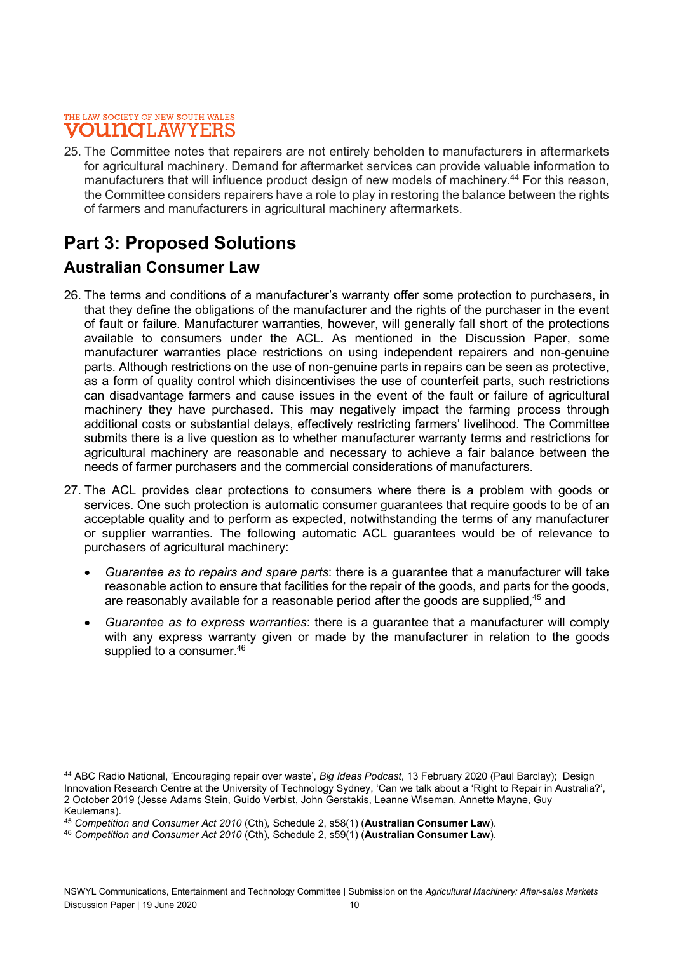25. The Committee notes that repairers are not entirely beholden to manufacturers in aftermarkets for agricultural machinery. Demand for aftermarket services can provide valuable information to manufacturers that will influence product design of new models of machinery.<sup>44</sup> For this reason, the Committee considers repairers have a role to play in restoring the balance between the rights of farmers and manufacturers in agricultural machinery aftermarkets.

# Part 3: Proposed Solutions

### Australian Consumer Law

- 26. The terms and conditions of a manufacturer's warranty offer some protection to purchasers, in that they define the obligations of the manufacturer and the rights of the purchaser in the event of fault or failure. Manufacturer warranties, however, will generally fall short of the protections available to consumers under the ACL. As mentioned in the Discussion Paper, some manufacturer warranties place restrictions on using independent repairers and non-genuine parts. Although restrictions on the use of non-genuine parts in repairs can be seen as protective, as a form of quality control which disincentivises the use of counterfeit parts, such restrictions can disadvantage farmers and cause issues in the event of the fault or failure of agricultural machinery they have purchased. This may negatively impact the farming process through additional costs or substantial delays, effectively restricting farmers' livelihood. The Committee submits there is a live question as to whether manufacturer warranty terms and restrictions for agricultural machinery are reasonable and necessary to achieve a fair balance between the needs of farmer purchasers and the commercial considerations of manufacturers.
- 27. The ACL provides clear protections to consumers where there is a problem with goods or services. One such protection is automatic consumer guarantees that require goods to be of an acceptable quality and to perform as expected, notwithstanding the terms of any manufacturer or supplier warranties. The following automatic ACL guarantees would be of relevance to purchasers of agricultural machinery:
	- Guarantee as to repairs and spare parts: there is a guarantee that a manufacturer will take reasonable action to ensure that facilities for the repair of the goods, and parts for the goods, are reasonably available for a reasonable period after the goods are supplied, <sup>45</sup> and
	- Guarantee as to express warranties: there is a guarantee that a manufacturer will comply with any express warranty given or made by the manufacturer in relation to the goods supplied to a consumer.<sup>46</sup>

<sup>44</sup> ABC Radio National, 'Encouraging repair over waste', Big Ideas Podcast, 13 February 2020 (Paul Barclay); Design Innovation Research Centre at the University of Technology Sydney, 'Can we talk about a 'Right to Repair in Australia?', 2 October 2019 (Jesse Adams Stein, Guido Verbist, John Gerstakis, Leanne Wiseman, Annette Mayne, Guy Keulemans).

<sup>45</sup> Competition and Consumer Act 2010 (Cth), Schedule 2, s58(1) (Australian Consumer Law).

<sup>46</sup> Competition and Consumer Act 2010 (Cth), Schedule 2, s59(1) (Australian Consumer Law).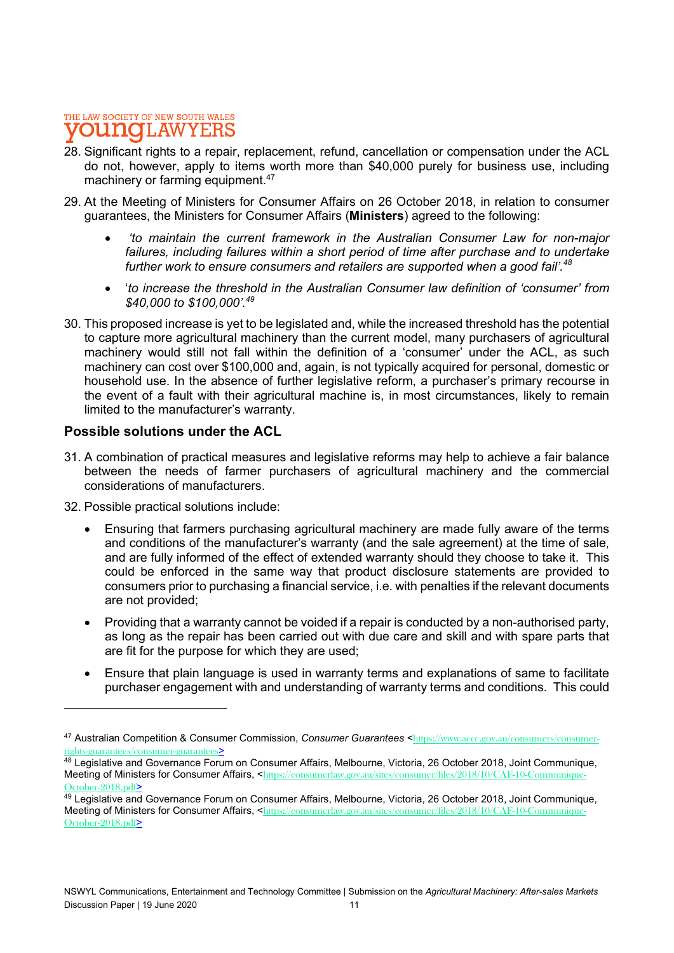- 28. Significant rights to a repair, replacement, refund, cancellation or compensation under the ACL do not, however, apply to items worth more than \$40,000 purely for business use, including machinery or farming equipment.<sup>47</sup>
- 29. At the Meeting of Ministers for Consumer Affairs on 26 October 2018, in relation to consumer guarantees, the Ministers for Consumer Affairs (Ministers) agreed to the following:
	- 'to maintain the current framework in the Australian Consumer Law for non-major failures, including failures within a short period of time after purchase and to undertake further work to ensure consumers and retailers are supported when a good fail'.<sup>48</sup>
	- 'to increase the threshold in the Australian Consumer law definition of 'consumer' from \$40,000 to \$100,000'.49
- 30. This proposed increase is yet to be legislated and, while the increased threshold has the potential to capture more agricultural machinery than the current model, many purchasers of agricultural machinery would still not fall within the definition of a 'consumer' under the ACL, as such machinery can cost over \$100,000 and, again, is not typically acquired for personal, domestic or household use. In the absence of further legislative reform, a purchaser's primary recourse in the event of a fault with their agricultural machine is, in most circumstances, likely to remain limited to the manufacturer's warranty.

### Possible solutions under the ACL

- 31. A combination of practical measures and legislative reforms may help to achieve a fair balance between the needs of farmer purchasers of agricultural machinery and the commercial considerations of manufacturers.
- 32. Possible practical solutions include:
	- Ensuring that farmers purchasing agricultural machinery are made fully aware of the terms and conditions of the manufacturer's warranty (and the sale agreement) at the time of sale, and are fully informed of the effect of extended warranty should they choose to take it. This could be enforced in the same way that product disclosure statements are provided to consumers prior to purchasing a financial service, i.e. with penalties if the relevant documents are not provided;
	- Providing that a warranty cannot be voided if a repair is conducted by a non-authorised party, as long as the repair has been carried out with due care and skill and with spare parts that are fit for the purpose for which they are used;
	- Ensure that plain language is used in warranty terms and explanations of same to facilitate purchaser engagement with and understanding of warranty terms and conditions. This could

<sup>47</sup> Australian Competition & Consumer Commission, Consumer Guarantees <https://www.accc.gov.au/consumers/consumerrights-guarantees/consumer-guarantees>

<sup>48</sup> Legislative and Governance Forum on Consumer Affairs, Melbourne, Victoria, 26 October 2018, Joint Communique, Meeting of Ministers for Consumer Affairs, <https://consumerlaw.gov.au/sites/consumer/files/2018/10/CAF-10-Communique-October-2018.pdf>

<sup>49</sup> Legislative and Governance Forum on Consumer Affairs, Melbourne, Victoria, 26 October 2018, Joint Communique, Meeting of Ministers for Consumer Affairs, <https://consumerlaw.gov.au/sites/consumer/files/2018/10/CAF-10-Communique-October-2018.pdf>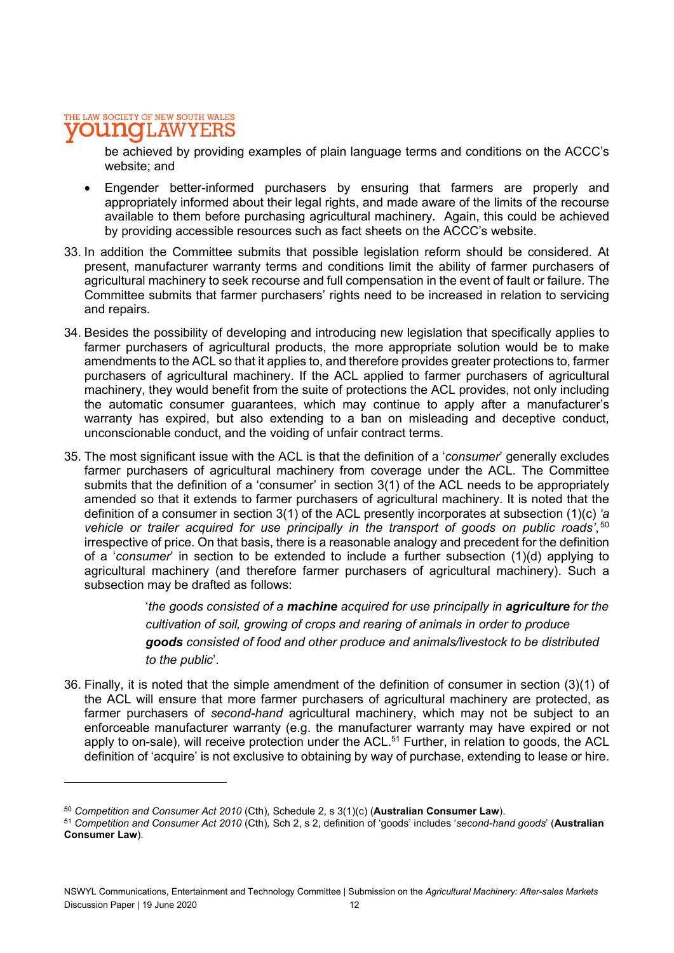be achieved by providing examples of plain language terms and conditions on the ACCC's website; and

- Engender better-informed purchasers by ensuring that farmers are properly and appropriately informed about their legal rights, and made aware of the limits of the recourse available to them before purchasing agricultural machinery. Again, this could be achieved by providing accessible resources such as fact sheets on the ACCC's website.
- 33. In addition the Committee submits that possible legislation reform should be considered. At present, manufacturer warranty terms and conditions limit the ability of farmer purchasers of agricultural machinery to seek recourse and full compensation in the event of fault or failure. The Committee submits that farmer purchasers' rights need to be increased in relation to servicing and repairs.
- 34. Besides the possibility of developing and introducing new legislation that specifically applies to farmer purchasers of agricultural products, the more appropriate solution would be to make amendments to the ACL so that it applies to, and therefore provides greater protections to, farmer purchasers of agricultural machinery. If the ACL applied to farmer purchasers of agricultural machinery, they would benefit from the suite of protections the ACL provides, not only including the automatic consumer guarantees, which may continue to apply after a manufacturer's warranty has expired, but also extending to a ban on misleading and deceptive conduct, unconscionable conduct, and the voiding of unfair contract terms.
- 35. The most significant issue with the ACL is that the definition of a 'consumer' generally excludes farmer purchasers of agricultural machinery from coverage under the ACL. The Committee submits that the definition of a 'consumer' in section 3(1) of the ACL needs to be appropriately amended so that it extends to farmer purchasers of agricultural machinery. It is noted that the definition of a consumer in section 3(1) of the ACL presently incorporates at subsection (1)(c) 'a vehicle or trailer acquired for use principally in the transport of goods on public roads', 50 irrespective of price. On that basis, there is a reasonable analogy and precedent for the definition of a 'consumer' in section to be extended to include a further subsection (1)(d) applying to agricultural machinery (and therefore farmer purchasers of agricultural machinery). Such a subsection may be drafted as follows:

'the goods consisted of a machine acquired for use principally in agriculture for the cultivation of soil, growing of crops and rearing of animals in order to produce goods consisted of food and other produce and animals/livestock to be distributed to the public'.

36. Finally, it is noted that the simple amendment of the definition of consumer in section (3)(1) of the ACL will ensure that more farmer purchasers of agricultural machinery are protected, as farmer purchasers of second-hand agricultural machinery, which may not be subject to an enforceable manufacturer warranty (e.g. the manufacturer warranty may have expired or not apply to on-sale), will receive protection under the ACL.<sup>51</sup> Further, in relation to goods, the ACL definition of 'acquire' is not exclusive to obtaining by way of purchase, extending to lease or hire.

 $50$  Competition and Consumer Act 2010 (Cth), Schedule 2, s  $3(1)(c)$  (Australian Consumer Law).

<sup>51</sup> Competition and Consumer Act 2010 (Cth), Sch 2, s 2, definition of 'goods' includes 'second-hand goods' (Australian Consumer Law).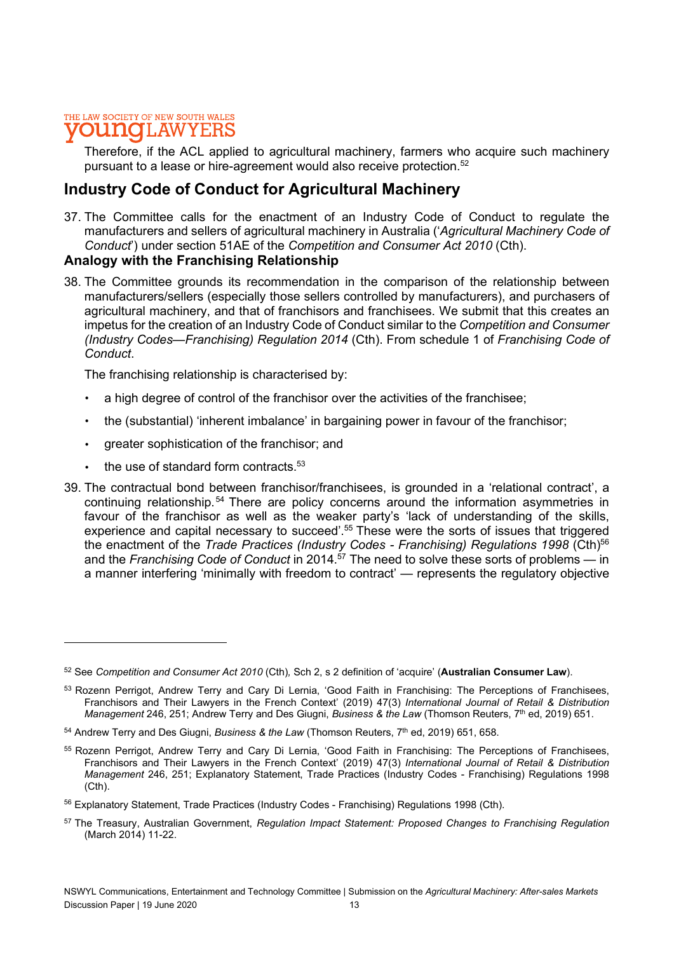#### THE LAW SOCIETY OF NEW SOUTH WALES **INOILAW**

Therefore, if the ACL applied to agricultural machinery, farmers who acquire such machinery pursuant to a lease or hire-agreement would also receive protection.<sup>52</sup>

### Industry Code of Conduct for Agricultural Machinery

37. The Committee calls for the enactment of an Industry Code of Conduct to regulate the manufacturers and sellers of agricultural machinery in Australia ('Agricultural Machinery Code of Conduct') under section 51AE of the Competition and Consumer Act 2010 (Cth).

### Analogy with the Franchising Relationship

38. The Committee grounds its recommendation in the comparison of the relationship between manufacturers/sellers (especially those sellers controlled by manufacturers), and purchasers of agricultural machinery, and that of franchisors and franchisees. We submit that this creates an impetus for the creation of an Industry Code of Conduct similar to the Competition and Consumer (Industry Codes—Franchising) Regulation 2014 (Cth). From schedule 1 of Franchising Code of Conduct.

The franchising relationship is characterised by:

- a high degree of control of the franchisor over the activities of the franchisee;
- the (substantial) 'inherent imbalance' in bargaining power in favour of the franchisor;
- greater sophistication of the franchisor; and
- $\cdot$  the use of standard form contracts.  $53$
- 39. The contractual bond between franchisor/franchisees, is grounded in a 'relational contract', a continuing relationship.<sup>54</sup> There are policy concerns around the information asymmetries in favour of the franchisor as well as the weaker party's 'lack of understanding of the skills, experience and capital necessary to succeed'.<sup>55</sup> These were the sorts of issues that triggered the enactment of the Trade Practices (Industry Codes - Franchising) Regulations 1998 (Cth)<sup>56</sup> and the Franchising Code of Conduct in 2014.<sup>57</sup> The need to solve these sorts of problems — in a manner interfering 'minimally with freedom to contract' — represents the regulatory objective

 $52$  See Competition and Consumer Act 2010 (Cth), Sch 2, s 2 definition of 'acquire' (Australian Consumer Law).

<sup>53</sup> Rozenn Perrigot, Andrew Terry and Cary Di Lernia, 'Good Faith in Franchising: The Perceptions of Franchisees. Franchisors and Their Lawyers in the French Context' (2019) 47(3) International Journal of Retail & Distribution Management 246, 251; Andrew Terry and Des Giugni, Business & the Law (Thomson Reuters,  $7<sup>th</sup>$  ed, 2019) 651.

 $54$  Andrew Terry and Des Giugni, Business & the Law (Thomson Reuters,  $7<sup>th</sup>$  ed, 2019) 651, 658.

<sup>55</sup> Rozenn Perrigot, Andrew Terry and Cary Di Lernia, 'Good Faith in Franchising: The Perceptions of Franchisees, Franchisors and Their Lawyers in the French Context' (2019) 47(3) International Journal of Retail & Distribution Management 246, 251; Explanatory Statement, Trade Practices (Industry Codes - Franchising) Regulations 1998 (Cth).

<sup>56</sup> Explanatory Statement, Trade Practices (Industry Codes - Franchising) Regulations 1998 (Cth).

<sup>&</sup>lt;sup>57</sup> The Treasury, Australian Government, Regulation Impact Statement: Proposed Changes to Franchising Regulation (March 2014) 11-22.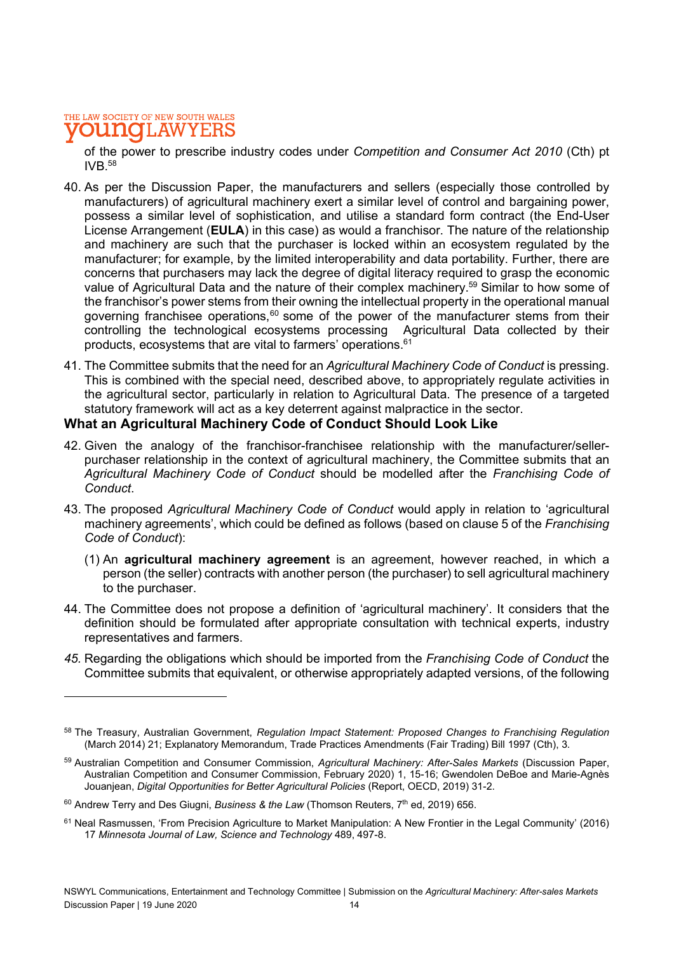of the power to prescribe industry codes under Competition and Consumer Act 2010 (Cth) pt IVB $58$ 

- 40. As per the Discussion Paper, the manufacturers and sellers (especially those controlled by manufacturers) of agricultural machinery exert a similar level of control and bargaining power, possess a similar level of sophistication, and utilise a standard form contract (the End-User License Arrangement (**EULA**) in this case) as would a franchisor. The nature of the relationship and machinery are such that the purchaser is locked within an ecosystem regulated by the manufacturer; for example, by the limited interoperability and data portability. Further, there are concerns that purchasers may lack the degree of digital literacy required to grasp the economic value of Agricultural Data and the nature of their complex machinery.<sup>59</sup> Similar to how some of the franchisor's power stems from their owning the intellectual property in the operational manual governing franchisee operations, $60$  some of the power of the manufacturer stems from their controlling the technological ecosystems processing Agricultural Data collected by their products, ecosystems that are vital to farmers' operations.61
- 41. The Committee submits that the need for an Agricultural Machinery Code of Conduct is pressing. This is combined with the special need, described above, to appropriately regulate activities in the agricultural sector, particularly in relation to Agricultural Data. The presence of a targeted statutory framework will act as a key deterrent against malpractice in the sector.

### What an Agricultural Machinery Code of Conduct Should Look Like

- 42. Given the analogy of the franchisor-franchisee relationship with the manufacturer/sellerpurchaser relationship in the context of agricultural machinery, the Committee submits that an Agricultural Machinery Code of Conduct should be modelled after the Franchising Code of Conduct.<br>43. The proposed Agricultural Machinery Code of Conduct would apply in relation to 'agricultural
- machinery agreements', which could be defined as follows (based on clause 5 of the Franchising Code of Conduct):
	- (1) An agricultural machinery agreement is an agreement, however reached, in which a person (the seller) contracts with another person (the purchaser) to sell agricultural machinery to the purchaser.
- 44. The Committee does not propose a definition of 'agricultural machinery'. It considers that the definition should be formulated after appropriate consultation with technical experts, industry representatives and farmers.
- 45. Regarding the obligations which should be imported from the Franchising Code of Conduct the Committee submits that equivalent, or otherwise appropriately adapted versions, of the following

<sup>58</sup> The Treasury, Australian Government, Regulation Impact Statement: Proposed Changes to Franchising Regulation (March 2014) 21; Explanatory Memorandum, Trade Practices Amendments (Fair Trading) Bill 1997 (Cth), 3.

<sup>59</sup> Australian Competition and Consumer Commission, Agricultural Machinery: After-Sales Markets (Discussion Paper, Australian Competition and Consumer Commission, February 2020) 1, 15-16; Gwendolen DeBoe and Marie-Agnès Jouanjean, Digital Opportunities for Better Agricultural Policies (Report, OECD, 2019) 31-2.

 $60$  Andrew Terry and Des Giugni, Business & the Law (Thomson Reuters,  $7<sup>th</sup>$  ed, 2019) 656.

<sup>61</sup> Neal Rasmussen, 'From Precision Agriculture to Market Manipulation: A New Frontier in the Legal Community' (2016) 17 Minnesota Journal of Law, Science and Technology 489, 497-8.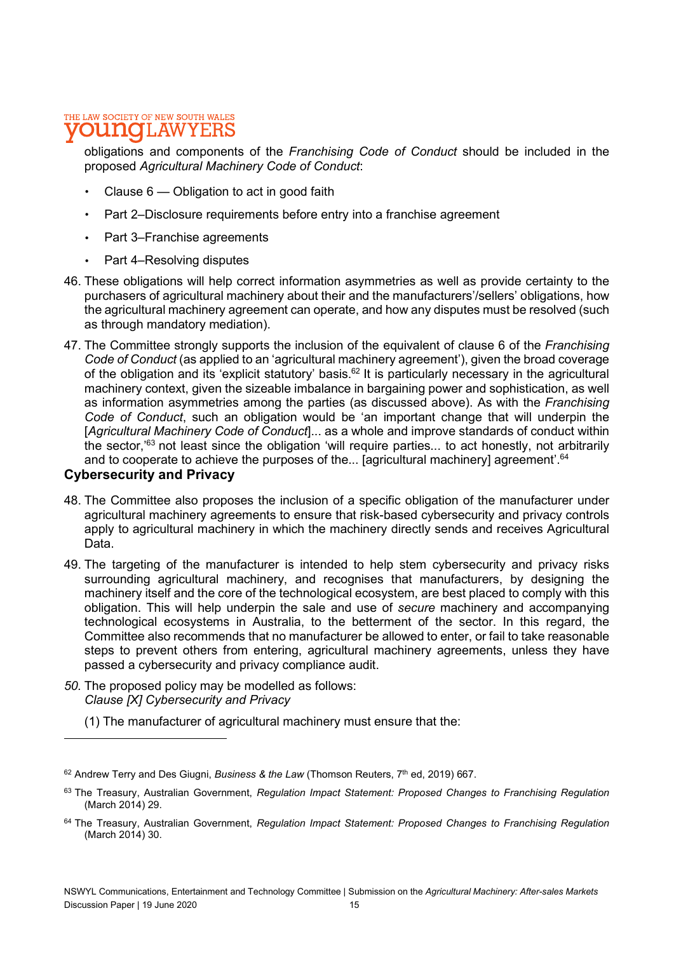#### THE LAW SOCIETY OF NEW SOUTH WALES **10 I.AW**

obligations and components of the Franchising Code of Conduct should be included in the proposed Agricultural Machinery Code of Conduct:

- Clause 6 Obligation to act in good faith
- Part 2–Disclosure requirements before entry into a franchise agreement
- Part 3–Franchise agreements
- Part 4–Resolving disputes
- 46. These obligations will help correct information asymmetries as well as provide certainty to the purchasers of agricultural machinery about their and the manufacturers'/sellers' obligations, how the agricultural machinery agreement can operate, and how any disputes must be resolved (such as through mandatory mediation).
- 47. The Committee strongly supports the inclusion of the equivalent of clause 6 of the Franchising Code of Conduct (as applied to an 'agricultural machinery agreement'), given the broad coverage of the obligation and its 'explicit statutory' basis.62 It is particularly necessary in the agricultural machinery context, given the sizeable imbalance in bargaining power and sophistication, as well as information asymmetries among the parties (as discussed above). As with the Franchising Code of Conduct, such an obligation would be 'an important change that will underpin the [Agricultural Machinery Code of Conduct]... as a whole and improve standards of conduct within the sector,'63 not least since the obligation 'will require parties... to act honestly, not arbitrarily and to cooperate to achieve the purposes of the... [agricultural machinery] agreement'.<sup>64</sup>

### Cybersecurity and Privacy

- 48. The Committee also proposes the inclusion of a specific obligation of the manufacturer under agricultural machinery agreements to ensure that risk-based cybersecurity and privacy controls apply to agricultural machinery in which the machinery directly sends and receives Agricultural Data.
- 49. The targeting of the manufacturer is intended to help stem cybersecurity and privacy risks surrounding agricultural machinery, and recognises that manufacturers, by designing the machinery itself and the core of the technological ecosystem, are best placed to comply with this obligation. This will help underpin the sale and use of secure machinery and accompanying technological ecosystems in Australia, to the betterment of the sector. In this regard, the Committee also recommends that no manufacturer be allowed to enter, or fail to take reasonable steps to prevent others from entering, agricultural machinery agreements, unless they have passed a cybersecurity and privacy compliance audit.
- 50. The proposed policy may be modelled as follows: Clause [X] Cybersecurity and Privacy
	- (1) The manufacturer of agricultural machinery must ensure that the:

 $62$  Andrew Terry and Des Giugni, Business & the Law (Thomson Reuters,  $7<sup>th</sup>$  ed, 2019) 667.

<sup>63</sup> The Treasury, Australian Government, Regulation Impact Statement: Proposed Changes to Franchising Regulation (March 2014) 29.

<sup>&</sup>lt;sup>64</sup> The Treasury, Australian Government, Regulation Impact Statement: Proposed Changes to Franchising Regulation (March 2014) 30.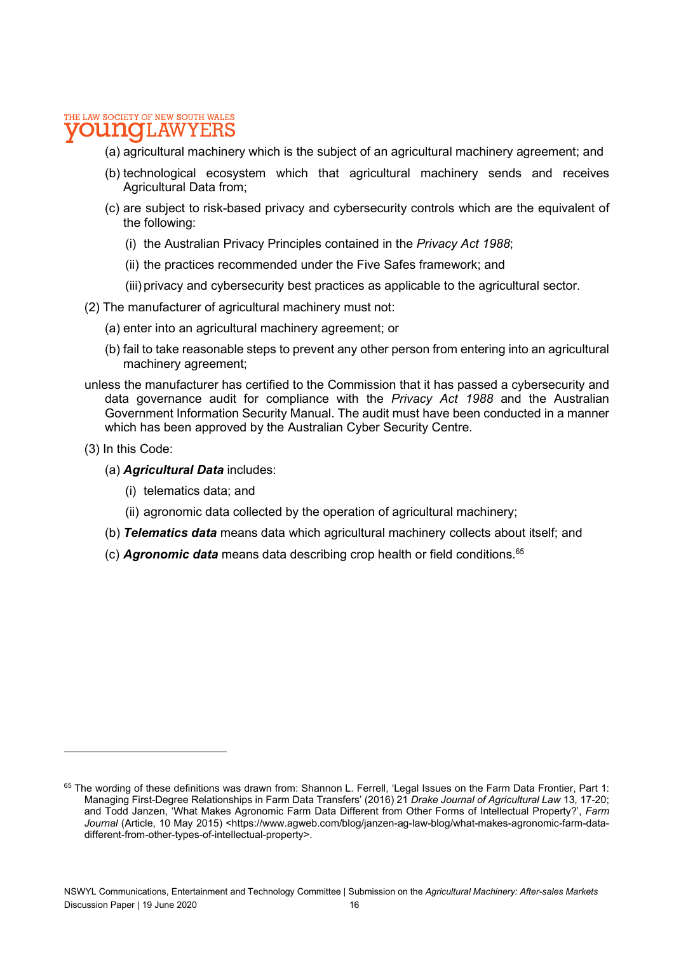#### THE LAW SOCIETY OF NEW SOUTH WALES 1.AW

- (a) agricultural machinery which is the subject of an agricultural machinery agreement; and
- (b) technological ecosystem which that agricultural machinery sends and receives Agricultural Data from;
- (c) are subject to risk-based privacy and cybersecurity controls which are the equivalent of the following:
	- (i) the Australian Privacy Principles contained in the Privacy Act 1988;
	- (ii) the practices recommended under the Five Safes framework; and
	- (iii) privacy and cybersecurity best practices as applicable to the agricultural sector.
- (2) The manufacturer of agricultural machinery must not:
	- (a) enter into an agricultural machinery agreement; or
	- (b) fail to take reasonable steps to prevent any other person from entering into an agricultural machinery agreement;
- unless the manufacturer has certified to the Commission that it has passed a cybersecurity and data governance audit for compliance with the Privacy Act 1988 and the Australian Government Information Security Manual. The audit must have been conducted in a manner which has been approved by the Australian Cyber Security Centre.
- (3) In this Code:
	- (a) Agricultural Data includes:
		- (i) telematics data; and
		- (ii) agronomic data collected by the operation of agricultural machinery;
	- (b) **Telematics data** means data which agricultural machinery collects about itself; and
	- (c) **Agronomic data** means data describing crop health or field conditions.<sup>65</sup>

<sup>65</sup> The wording of these definitions was drawn from: Shannon L. Ferrell, 'Legal Issues on the Farm Data Frontier, Part 1: Managing First-Degree Relationships in Farm Data Transfers' (2016) 21 Drake Journal of Agricultural Law 13, 17-20; and Todd Janzen, 'What Makes Agronomic Farm Data Different from Other Forms of Intellectual Property?', Farm Journal (Article, 10 May 2015) <https://www.agweb.com/blog/janzen-ag-law-blog/what-makes-agronomic-farm-datadifferent-from-other-types-of-intellectual-property>.